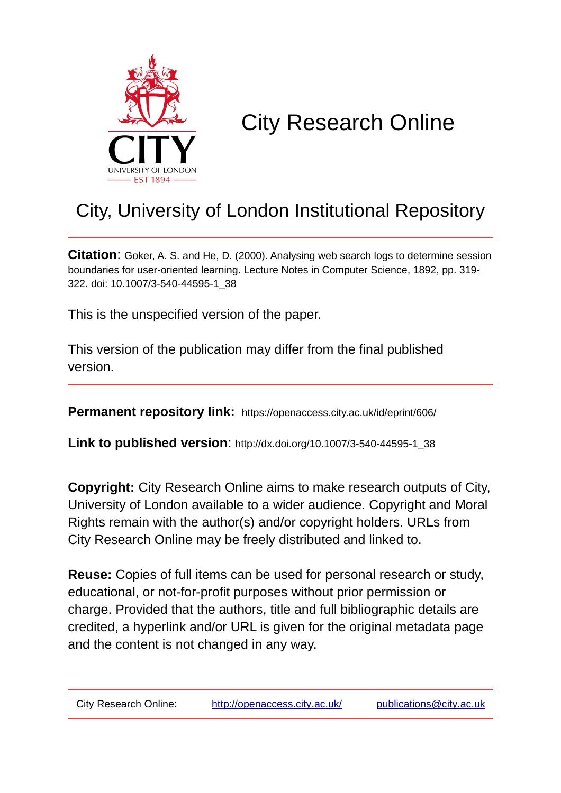

# City Research Online

## City, University of London Institutional Repository

**Citation**: Goker, A. S. and He, D. (2000). Analysing web search logs to determine session boundaries for user-oriented learning. Lecture Notes in Computer Science, 1892, pp. 319- 322. doi: 10.1007/3-540-44595-1\_38

This is the unspecified version of the paper.

This version of the publication may differ from the final published version.

**Permanent repository link:** https://openaccess.city.ac.uk/id/eprint/606/

**Link to published version:** http://dx.doi.org/10.1007/3-540-44595-1\_38

**Copyright:** City Research Online aims to make research outputs of City, University of London available to a wider audience. Copyright and Moral Rights remain with the author(s) and/or copyright holders. URLs from City Research Online may be freely distributed and linked to.

**Reuse:** Copies of full items can be used for personal research or study, educational, or not-for-profit purposes without prior permission or charge. Provided that the authors, title and full bibliographic details are credited, a hyperlink and/or URL is given for the original metadata page and the content is not changed in any way.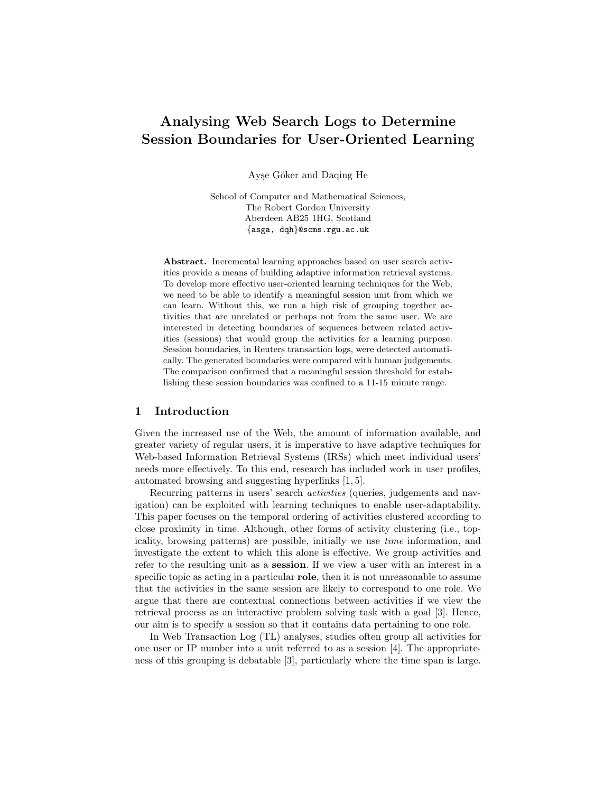### Analysing Web Search Logs to Determine Session Boundaries for User-Oriented Learning

Ayse Göker and Daqing He

School of Computer and Mathematical Sciences, The Robert Gordon University Aberdeen AB25 1HG, Scotland {asga, dqh}@scms.rgu.ac.uk

Abstract. Incremental learning approaches based on user search activities provide a means of building adaptive information retrieval systems. To develop more effective user-oriented learning techniques for the Web, we need to be able to identify a meaningful session unit from which we can learn. Without this, we run a high risk of grouping together activities that are unrelated or perhaps not from the same user. We are interested in detecting boundaries of sequences between related activities (sessions) that would group the activities for a learning purpose. Session boundaries, in Reuters transaction logs, were detected automatically. The generated boundaries were compared with human judgements. The comparison confirmed that a meaningful session threshold for establishing these session boundaries was confined to a 11-15 minute range.

#### 1 Introduction

Given the increased use of the Web, the amount of information available, and greater variety of regular users, it is imperative to have adaptive techniques for Web-based Information Retrieval Systems (IRSs) which meet individual users' needs more effectively. To this end, research has included work in user profiles, automated browsing and suggesting hyperlinks [1, 5].

Recurring patterns in users' search *activities* (queries, judgements and navigation) can be exploited with learning techniques to enable user-adaptability. This paper focuses on the temporal ordering of activities clustered according to close proximity in time. Although, other forms of activity clustering (i.e., topicality, browsing patterns) are possible, initially we use time information, and investigate the extent to which this alone is effective. We group activities and refer to the resulting unit as a session. If we view a user with an interest in a specific topic as acting in a particular role, then it is not unreasonable to assume that the activities in the same session are likely to correspond to one role. We argue that there are contextual connections between activities if we view the retrieval process as an interactive problem solving task with a goal [3]. Hence, our aim is to specify a session so that it contains data pertaining to one role.

In Web Transaction Log (TL) analyses, studies often group all activities for one user or IP number into a unit referred to as a session [4]. The appropriateness of this grouping is debatable [3], particularly where the time span is large.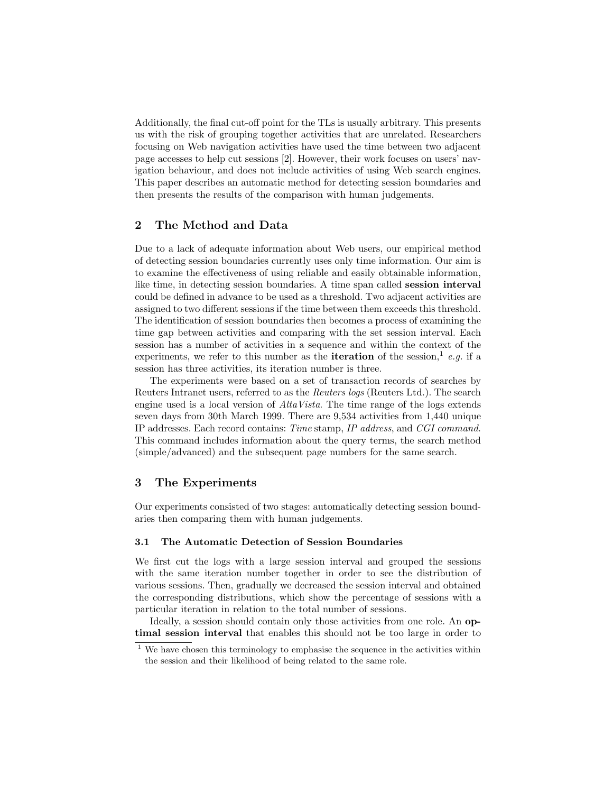Additionally, the final cut-off point for the TLs is usually arbitrary. This presents us with the risk of grouping together activities that are unrelated. Researchers focusing on Web navigation activities have used the time between two adjacent page accesses to help cut sessions [2]. However, their work focuses on users' navigation behaviour, and does not include activities of using Web search engines. This paper describes an automatic method for detecting session boundaries and then presents the results of the comparison with human judgements.

#### 2 The Method and Data

Due to a lack of adequate information about Web users, our empirical method of detecting session boundaries currently uses only time information. Our aim is to examine the effectiveness of using reliable and easily obtainable information, like time, in detecting session boundaries. A time span called session interval could be defined in advance to be used as a threshold. Two adjacent activities are assigned to two different sessions if the time between them exceeds this threshold. The identification of session boundaries then becomes a process of examining the time gap between activities and comparing with the set session interval. Each session has a number of activities in a sequence and within the context of the experiments, we refer to this number as the **iteration** of the session,  $^1$  e.g. if a session has three activities, its iteration number is three.

The experiments were based on a set of transaction records of searches by Reuters Intranet users, referred to as the Reuters logs (Reuters Ltd.). The search engine used is a local version of *AltaVista*. The time range of the logs extends seven days from 30th March 1999. There are 9,534 activities from 1,440 unique IP addresses. Each record contains: Time stamp, IP address, and CGI command. This command includes information about the query terms, the search method (simple/advanced) and the subsequent page numbers for the same search.

#### 3 The Experiments

Our experiments consisted of two stages: automatically detecting session boundaries then comparing them with human judgements.

#### 3.1 The Automatic Detection of Session Boundaries

We first cut the logs with a large session interval and grouped the sessions with the same iteration number together in order to see the distribution of various sessions. Then, gradually we decreased the session interval and obtained the corresponding distributions, which show the percentage of sessions with a particular iteration in relation to the total number of sessions.

Ideally, a session should contain only those activities from one role. An optimal session interval that enables this should not be too large in order to

 $1$  We have chosen this terminology to emphasise the sequence in the activities within the session and their likelihood of being related to the same role.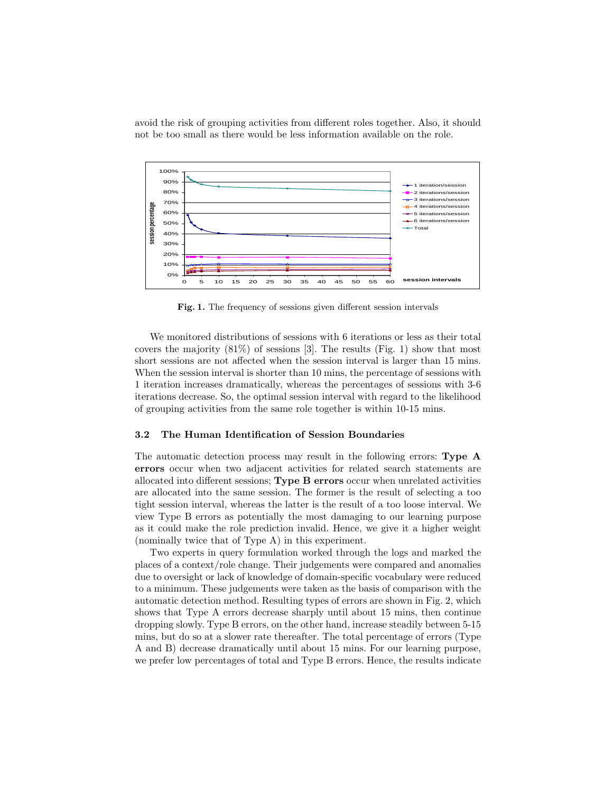avoid the risk of grouping activities from different roles together. Also, it should not be too small as there would be less information available on the role.



Fig. 1. The frequency of sessions given different session intervals

We monitored distributions of sessions with 6 iterations or less as their total covers the majority  $(81\%)$  of sessions [3]. The results (Fig. 1) show that most short sessions are not affected when the session interval is larger than 15 mins. When the session interval is shorter than 10 mins, the percentage of sessions with 1 iteration increases dramatically, whereas the percentages of sessions with 3-6 iterations decrease. So, the optimal session interval with regard to the likelihood of grouping activities from the same role together is within 10-15 mins.

#### 3.2 The Human Identification of Session Boundaries

The automatic detection process may result in the following errors: Type A errors occur when two adjacent activities for related search statements are allocated into different sessions; Type B errors occur when unrelated activities are allocated into the same session. The former is the result of selecting a too tight session interval, whereas the latter is the result of a too loose interval. We view Type B errors as potentially the most damaging to our learning purpose as it could make the role prediction invalid. Hence, we give it a higher weight (nominally twice that of Type A) in this experiment.

Two experts in query formulation worked through the logs and marked the places of a context/role change. Their judgements were compared and anomalies due to oversight or lack of knowledge of domain-specific vocabulary were reduced to a minimum. These judgements were taken as the basis of comparison with the automatic detection method. Resulting types of errors are shown in Fig. 2, which shows that Type A errors decrease sharply until about 15 mins, then continue dropping slowly. Type B errors, on the other hand, increase steadily between 5-15 mins, but do so at a slower rate thereafter. The total percentage of errors (Type A and B) decrease dramatically until about 15 mins. For our learning purpose, we prefer low percentages of total and Type B errors. Hence, the results indicate